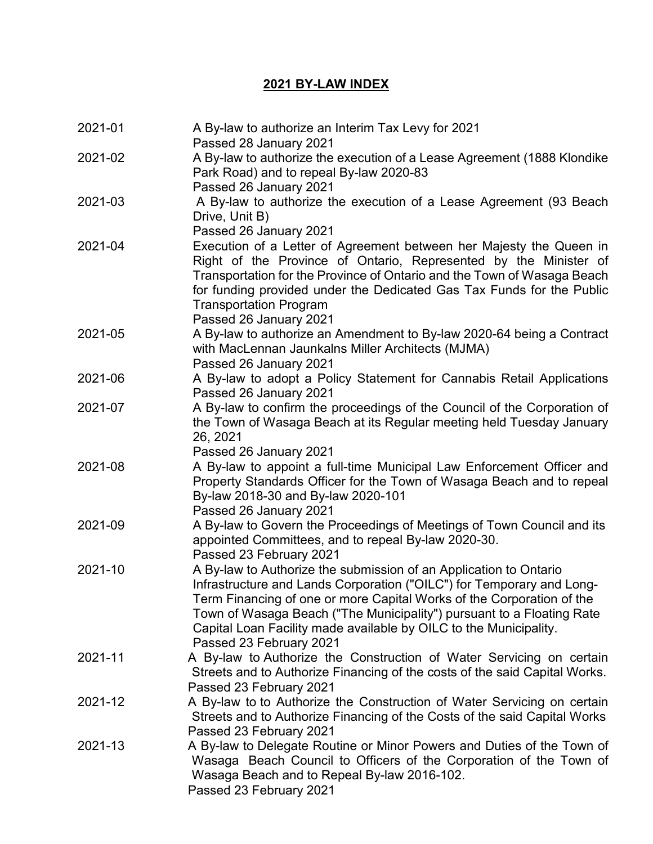## **2021 BY-LAW INDEX**

| 2021-01 | A By-law to authorize an Interim Tax Levy for 2021<br>Passed 28 January 2021                                                                                                                                                                                                                                                                                                                 |
|---------|----------------------------------------------------------------------------------------------------------------------------------------------------------------------------------------------------------------------------------------------------------------------------------------------------------------------------------------------------------------------------------------------|
| 2021-02 | A By-law to authorize the execution of a Lease Agreement (1888 Klondike<br>Park Road) and to repeal By-law 2020-83<br>Passed 26 January 2021                                                                                                                                                                                                                                                 |
| 2021-03 | A By-law to authorize the execution of a Lease Agreement (93 Beach<br>Drive, Unit B)<br>Passed 26 January 2021                                                                                                                                                                                                                                                                               |
| 2021-04 | Execution of a Letter of Agreement between her Majesty the Queen in<br>Right of the Province of Ontario, Represented by the Minister of<br>Transportation for the Province of Ontario and the Town of Wasaga Beach<br>for funding provided under the Dedicated Gas Tax Funds for the Public<br><b>Transportation Program</b><br>Passed 26 January 2021                                       |
| 2021-05 | A By-law to authorize an Amendment to By-law 2020-64 being a Contract<br>with MacLennan Jaunkalns Miller Architects (MJMA)<br>Passed 26 January 2021                                                                                                                                                                                                                                         |
| 2021-06 | A By-law to adopt a Policy Statement for Cannabis Retail Applications<br>Passed 26 January 2021                                                                                                                                                                                                                                                                                              |
| 2021-07 | A By-law to confirm the proceedings of the Council of the Corporation of<br>the Town of Wasaga Beach at its Regular meeting held Tuesday January<br>26, 2021<br>Passed 26 January 2021                                                                                                                                                                                                       |
| 2021-08 | A By-law to appoint a full-time Municipal Law Enforcement Officer and<br>Property Standards Officer for the Town of Wasaga Beach and to repeal<br>By-law 2018-30 and By-law 2020-101<br>Passed 26 January 2021                                                                                                                                                                               |
| 2021-09 | A By-law to Govern the Proceedings of Meetings of Town Council and its<br>appointed Committees, and to repeal By-law 2020-30.<br>Passed 23 February 2021                                                                                                                                                                                                                                     |
| 2021-10 | A By-law to Authorize the submission of an Application to Ontario<br>Infrastructure and Lands Corporation ("OILC") for Temporary and Long-<br>Term Financing of one or more Capital Works of the Corporation of the<br>Town of Wasaga Beach ("The Municipality") pursuant to a Floating Rate<br>Capital Loan Facility made available by OILC to the Municipality.<br>Passed 23 February 2021 |
| 2021-11 | A By-law to Authorize the Construction of Water Servicing on certain<br>Streets and to Authorize Financing of the costs of the said Capital Works.<br>Passed 23 February 2021                                                                                                                                                                                                                |
| 2021-12 | A By-law to to Authorize the Construction of Water Servicing on certain<br>Streets and to Authorize Financing of the Costs of the said Capital Works<br>Passed 23 February 2021                                                                                                                                                                                                              |
| 2021-13 | A By-law to Delegate Routine or Minor Powers and Duties of the Town of<br>Wasaga Beach Council to Officers of the Corporation of the Town of<br>Wasaga Beach and to Repeal By-law 2016-102.<br>Passed 23 February 2021                                                                                                                                                                       |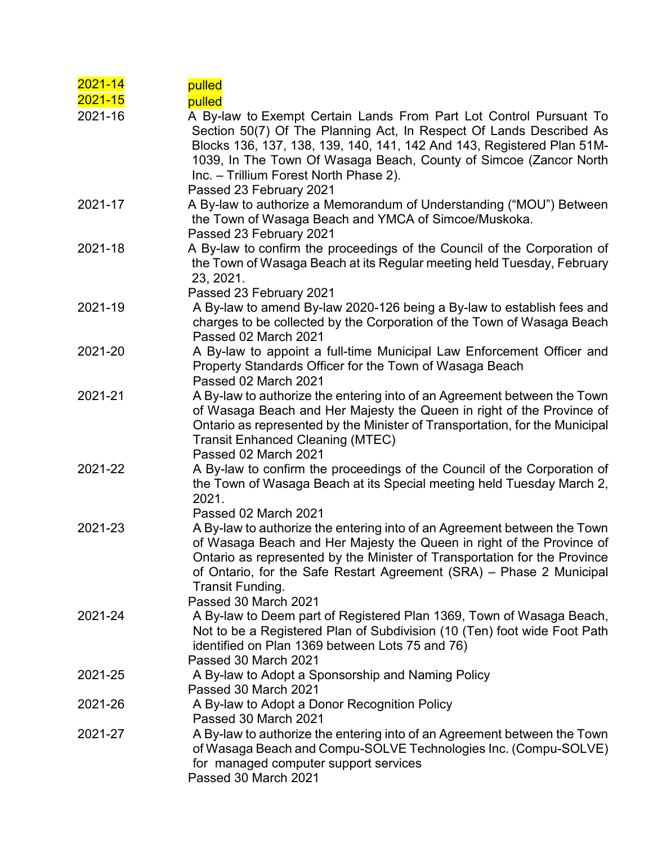| $2021 - 14$<br>2021-15 | pulled<br>pulled                                                                                                                                                                                                                                                                                                                                              |
|------------------------|---------------------------------------------------------------------------------------------------------------------------------------------------------------------------------------------------------------------------------------------------------------------------------------------------------------------------------------------------------------|
| 2021-16                | A By-law to Exempt Certain Lands From Part Lot Control Pursuant To<br>Section 50(7) Of The Planning Act, In Respect Of Lands Described As<br>Blocks 136, 137, 138, 139, 140, 141, 142 And 143, Registered Plan 51M-<br>1039, In The Town Of Wasaga Beach, County of Simcoe (Zancor North<br>Inc. - Trillium Forest North Phase 2).<br>Passed 23 February 2021 |
| 2021-17                | A By-law to authorize a Memorandum of Understanding ("MOU") Between<br>the Town of Wasaga Beach and YMCA of Simcoe/Muskoka.<br>Passed 23 February 2021                                                                                                                                                                                                        |
| 2021-18                | A By-law to confirm the proceedings of the Council of the Corporation of<br>the Town of Wasaga Beach at its Regular meeting held Tuesday, February<br>23, 2021.<br>Passed 23 February 2021                                                                                                                                                                    |
| 2021-19                | A By-law to amend By-law 2020-126 being a By-law to establish fees and<br>charges to be collected by the Corporation of the Town of Wasaga Beach<br>Passed 02 March 2021                                                                                                                                                                                      |
| 2021-20                | A By-law to appoint a full-time Municipal Law Enforcement Officer and<br>Property Standards Officer for the Town of Wasaga Beach<br>Passed 02 March 2021                                                                                                                                                                                                      |
| 2021-21                | A By-law to authorize the entering into of an Agreement between the Town<br>of Wasaga Beach and Her Majesty the Queen in right of the Province of<br>Ontario as represented by the Minister of Transportation, for the Municipal<br><b>Transit Enhanced Cleaning (MTEC)</b><br>Passed 02 March 2021                                                           |
| 2021-22                | A By-law to confirm the proceedings of the Council of the Corporation of<br>the Town of Wasaga Beach at its Special meeting held Tuesday March 2,<br>2021.<br>Passed 02 March 2021                                                                                                                                                                            |
| 2021-23                | A By-law to authorize the entering into of an Agreement between the Town<br>of Wasaga Beach and Her Majesty the Queen in right of the Province of<br>Ontario as represented by the Minister of Transportation for the Province<br>of Ontario, for the Safe Restart Agreement (SRA) – Phase 2 Municipal<br>Transit Funding.<br>Passed 30 March 2021            |
| 2021-24                | A By-law to Deem part of Registered Plan 1369, Town of Wasaga Beach,<br>Not to be a Registered Plan of Subdivision (10 (Ten) foot wide Foot Path<br>identified on Plan 1369 between Lots 75 and 76)<br>Passed 30 March 2021                                                                                                                                   |
| 2021-25                | A By-law to Adopt a Sponsorship and Naming Policy<br>Passed 30 March 2021                                                                                                                                                                                                                                                                                     |
| 2021-26                | A By-law to Adopt a Donor Recognition Policy<br>Passed 30 March 2021                                                                                                                                                                                                                                                                                          |
| 2021-27                | A By-law to authorize the entering into of an Agreement between the Town<br>of Wasaga Beach and Compu-SOLVE Technologies Inc. (Compu-SOLVE)<br>for managed computer support services<br>Passed 30 March 2021                                                                                                                                                  |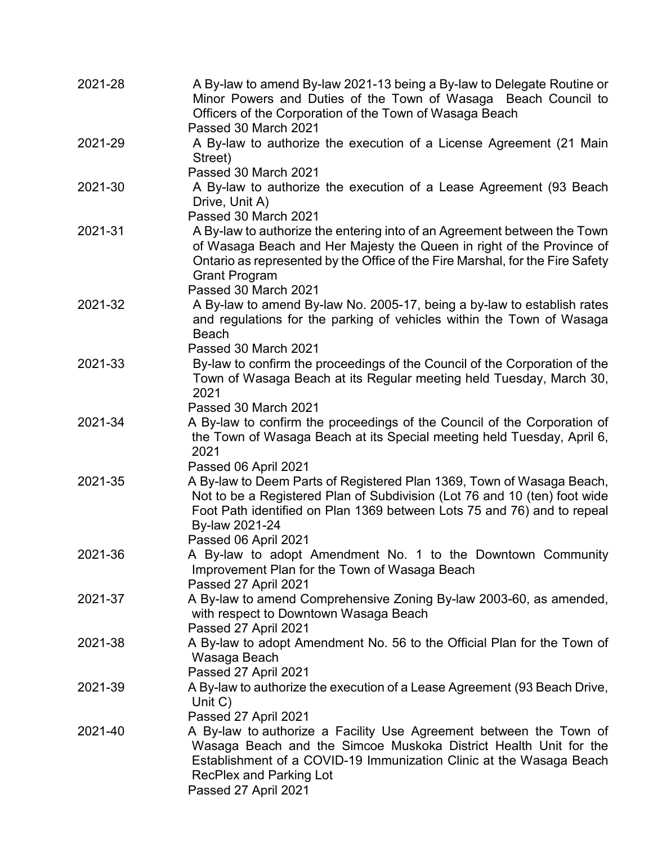| 2021-28 | A By-law to amend By-law 2021-13 being a By-law to Delegate Routine or<br>Minor Powers and Duties of the Town of Wasaga Beach Council to<br>Officers of the Corporation of the Town of Wasaga Beach                                                                                |
|---------|------------------------------------------------------------------------------------------------------------------------------------------------------------------------------------------------------------------------------------------------------------------------------------|
|         | Passed 30 March 2021                                                                                                                                                                                                                                                               |
| 2021-29 | A By-law to authorize the execution of a License Agreement (21 Main<br>Street)                                                                                                                                                                                                     |
|         | Passed 30 March 2021                                                                                                                                                                                                                                                               |
| 2021-30 | A By-law to authorize the execution of a Lease Agreement (93 Beach<br>Drive, Unit A)                                                                                                                                                                                               |
|         | Passed 30 March 2021                                                                                                                                                                                                                                                               |
| 2021-31 | A By-law to authorize the entering into of an Agreement between the Town<br>of Wasaga Beach and Her Majesty the Queen in right of the Province of<br>Ontario as represented by the Office of the Fire Marshal, for the Fire Safety<br><b>Grant Program</b><br>Passed 30 March 2021 |
| 2021-32 | A By-law to amend By-law No. 2005-17, being a by-law to establish rates                                                                                                                                                                                                            |
|         | and regulations for the parking of vehicles within the Town of Wasaga<br><b>Beach</b><br>Passed 30 March 2021                                                                                                                                                                      |
| 2021-33 | By-law to confirm the proceedings of the Council of the Corporation of the<br>Town of Wasaga Beach at its Regular meeting held Tuesday, March 30,<br>2021                                                                                                                          |
|         | Passed 30 March 2021                                                                                                                                                                                                                                                               |
| 2021-34 | A By-law to confirm the proceedings of the Council of the Corporation of<br>the Town of Wasaga Beach at its Special meeting held Tuesday, April 6,<br>2021                                                                                                                         |
|         | Passed 06 April 2021                                                                                                                                                                                                                                                               |
| 2021-35 | A By-law to Deem Parts of Registered Plan 1369, Town of Wasaga Beach,<br>Not to be a Registered Plan of Subdivision (Lot 76 and 10 (ten) foot wide<br>Foot Path identified on Plan 1369 between Lots 75 and 76) and to repeal<br>By-law 2021-24<br>Passed 06 April 2021            |
| 2021-36 | A By-law to adopt Amendment No. 1 to the Downtown Community<br>Improvement Plan for the Town of Wasaga Beach                                                                                                                                                                       |
| 2021-37 | Passed 27 April 2021<br>A By-law to amend Comprehensive Zoning By-law 2003-60, as amended,<br>with respect to Downtown Wasaga Beach                                                                                                                                                |
| 2021-38 | Passed 27 April 2021<br>A By-law to adopt Amendment No. 56 to the Official Plan for the Town of<br>Wasaga Beach                                                                                                                                                                    |
|         | Passed 27 April 2021                                                                                                                                                                                                                                                               |
| 2021-39 | A By-law to authorize the execution of a Lease Agreement (93 Beach Drive,<br>Unit $C$ )                                                                                                                                                                                            |
|         | Passed 27 April 2021                                                                                                                                                                                                                                                               |
| 2021-40 | A By-law to authorize a Facility Use Agreement between the Town of<br>Wasaga Beach and the Simcoe Muskoka District Health Unit for the<br>Establishment of a COVID-19 Immunization Clinic at the Wasaga Beach<br>RecPlex and Parking Lot<br>Passed 27 April 2021                   |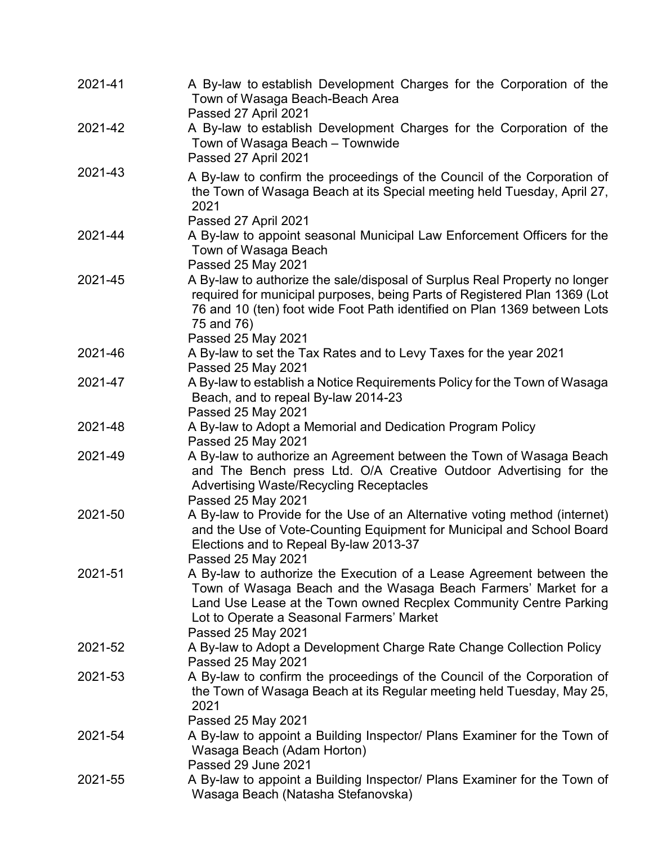| 2021-41 | A By-law to establish Development Charges for the Corporation of the<br>Town of Wasaga Beach-Beach Area<br>Passed 27 April 2021                                                                                                                                                 |
|---------|---------------------------------------------------------------------------------------------------------------------------------------------------------------------------------------------------------------------------------------------------------------------------------|
| 2021-42 | A By-law to establish Development Charges for the Corporation of the<br>Town of Wasaga Beach - Townwide<br>Passed 27 April 2021                                                                                                                                                 |
| 2021-43 | A By-law to confirm the proceedings of the Council of the Corporation of<br>the Town of Wasaga Beach at its Special meeting held Tuesday, April 27,<br>2021<br>Passed 27 April 2021                                                                                             |
| 2021-44 | A By-law to appoint seasonal Municipal Law Enforcement Officers for the<br>Town of Wasaga Beach<br>Passed 25 May 2021                                                                                                                                                           |
| 2021-45 | A By-law to authorize the sale/disposal of Surplus Real Property no longer<br>required for municipal purposes, being Parts of Registered Plan 1369 (Lot<br>76 and 10 (ten) foot wide Foot Path identified on Plan 1369 between Lots<br>75 and 76)<br>Passed 25 May 2021         |
| 2021-46 | A By-law to set the Tax Rates and to Levy Taxes for the year 2021<br>Passed 25 May 2021                                                                                                                                                                                         |
| 2021-47 | A By-law to establish a Notice Requirements Policy for the Town of Wasaga<br>Beach, and to repeal By-law 2014-23<br>Passed 25 May 2021                                                                                                                                          |
| 2021-48 | A By-law to Adopt a Memorial and Dedication Program Policy<br>Passed 25 May 2021                                                                                                                                                                                                |
| 2021-49 | A By-law to authorize an Agreement between the Town of Wasaga Beach<br>and The Bench press Ltd. O/A Creative Outdoor Advertising for the<br><b>Advertising Waste/Recycling Receptacles</b><br>Passed 25 May 2021                                                                |
| 2021-50 | A By-law to Provide for the Use of an Alternative voting method (internet)<br>and the Use of Vote-Counting Equipment for Municipal and School Board<br>Elections and to Repeal By-law 2013-37<br>Passed 25 May 2021                                                             |
| 2021-51 | A By-law to authorize the Execution of a Lease Agreement between the<br>Town of Wasaga Beach and the Wasaga Beach Farmers' Market for a<br>Land Use Lease at the Town owned Recplex Community Centre Parking<br>Lot to Operate a Seasonal Farmers' Market<br>Passed 25 May 2021 |
| 2021-52 | A By-law to Adopt a Development Charge Rate Change Collection Policy<br>Passed 25 May 2021                                                                                                                                                                                      |
| 2021-53 | A By-law to confirm the proceedings of the Council of the Corporation of<br>the Town of Wasaga Beach at its Regular meeting held Tuesday, May 25,<br>2021<br>Passed 25 May 2021                                                                                                 |
| 2021-54 | A By-law to appoint a Building Inspector/ Plans Examiner for the Town of<br>Wasaga Beach (Adam Horton)<br>Passed 29 June 2021                                                                                                                                                   |
| 2021-55 | A By-law to appoint a Building Inspector/ Plans Examiner for the Town of<br>Wasaga Beach (Natasha Stefanovska)                                                                                                                                                                  |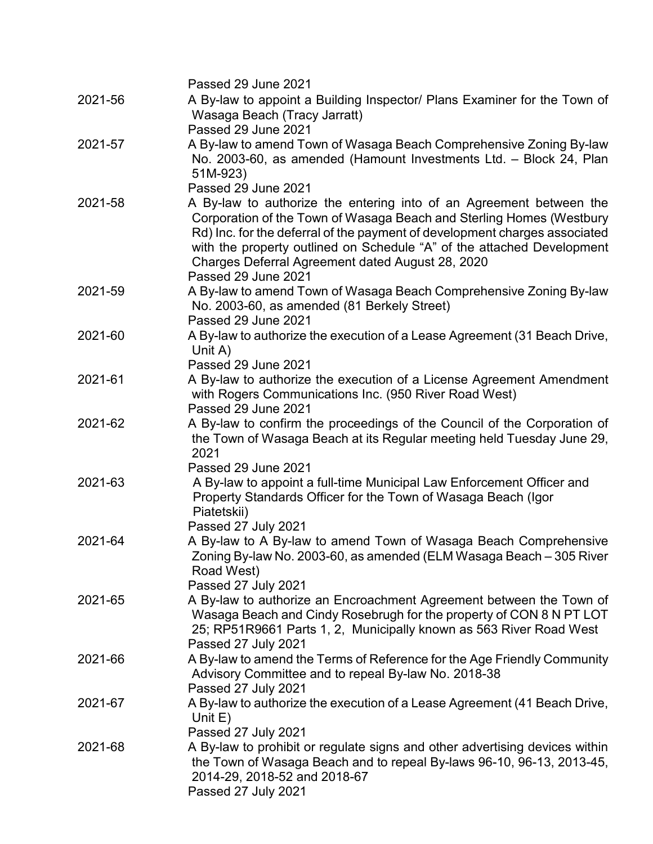|         | Passed 29 June 2021                                                                                                                                                                                                                                                                                                                                                                                   |
|---------|-------------------------------------------------------------------------------------------------------------------------------------------------------------------------------------------------------------------------------------------------------------------------------------------------------------------------------------------------------------------------------------------------------|
| 2021-56 | A By-law to appoint a Building Inspector/ Plans Examiner for the Town of<br>Wasaga Beach (Tracy Jarratt)<br>Passed 29 June 2021                                                                                                                                                                                                                                                                       |
| 2021-57 | A By-law to amend Town of Wasaga Beach Comprehensive Zoning By-law<br>No. 2003-60, as amended (Hamount Investments Ltd. - Block 24, Plan<br>51M-923)                                                                                                                                                                                                                                                  |
| 2021-58 | Passed 29 June 2021<br>A By-law to authorize the entering into of an Agreement between the<br>Corporation of the Town of Wasaga Beach and Sterling Homes (Westbury<br>Rd) Inc. for the deferral of the payment of development charges associated<br>with the property outlined on Schedule "A" of the attached Development<br>Charges Deferral Agreement dated August 28, 2020<br>Passed 29 June 2021 |
| 2021-59 | A By-law to amend Town of Wasaga Beach Comprehensive Zoning By-law<br>No. 2003-60, as amended (81 Berkely Street)<br>Passed 29 June 2021                                                                                                                                                                                                                                                              |
| 2021-60 | A By-law to authorize the execution of a Lease Agreement (31 Beach Drive,<br>Unit A)<br>Passed 29 June 2021                                                                                                                                                                                                                                                                                           |
| 2021-61 | A By-law to authorize the execution of a License Agreement Amendment<br>with Rogers Communications Inc. (950 River Road West)<br>Passed 29 June 2021                                                                                                                                                                                                                                                  |
| 2021-62 | A By-law to confirm the proceedings of the Council of the Corporation of<br>the Town of Wasaga Beach at its Regular meeting held Tuesday June 29,<br>2021<br>Passed 29 June 2021                                                                                                                                                                                                                      |
| 2021-63 | A By-law to appoint a full-time Municipal Law Enforcement Officer and<br>Property Standards Officer for the Town of Wasaga Beach (Igor<br>Piatetskii)<br>Passed 27 July 2021                                                                                                                                                                                                                          |
| 2021-64 | A By-law to A By-law to amend Town of Wasaga Beach Comprehensive<br>Zoning By-law No. 2003-60, as amended (ELM Wasaga Beach - 305 River<br>Road West)<br>Passed 27 July 2021                                                                                                                                                                                                                          |
| 2021-65 | A By-law to authorize an Encroachment Agreement between the Town of<br>Wasaga Beach and Cindy Rosebrugh for the property of CON 8 N PT LOT<br>25; RP51R9661 Parts 1, 2, Municipally known as 563 River Road West<br>Passed 27 July 2021                                                                                                                                                               |
| 2021-66 | A By-law to amend the Terms of Reference for the Age Friendly Community<br>Advisory Committee and to repeal By-law No. 2018-38<br>Passed 27 July 2021                                                                                                                                                                                                                                                 |
| 2021-67 | A By-law to authorize the execution of a Lease Agreement (41 Beach Drive,<br>Unit $E$ )<br>Passed 27 July 2021                                                                                                                                                                                                                                                                                        |
| 2021-68 | A By-law to prohibit or regulate signs and other advertising devices within<br>the Town of Wasaga Beach and to repeal By-laws 96-10, 96-13, 2013-45,<br>2014-29, 2018-52 and 2018-67<br>Passed 27 July 2021                                                                                                                                                                                           |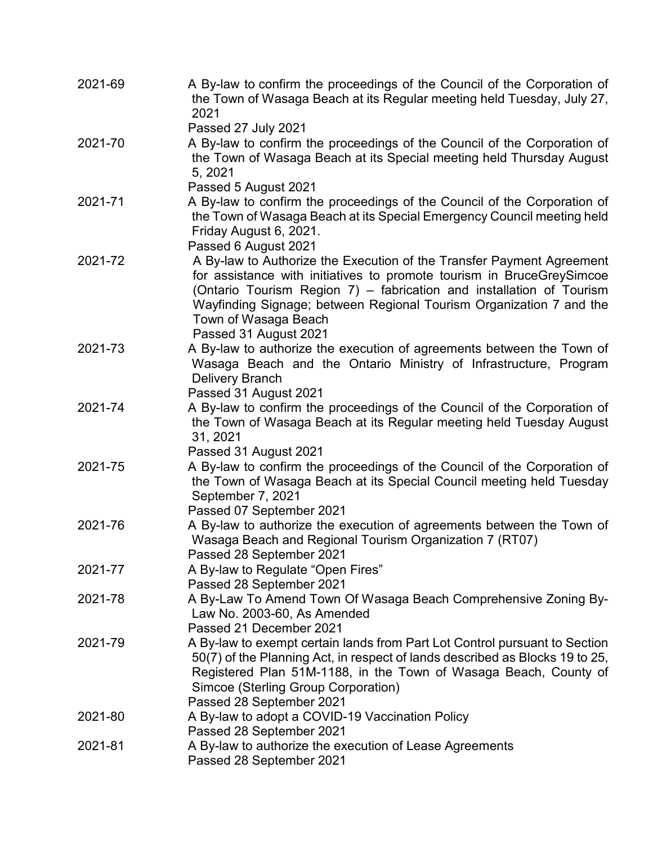| 2021-69 | A By-law to confirm the proceedings of the Council of the Corporation of<br>the Town of Wasaga Beach at its Regular meeting held Tuesday, July 27,<br>2021                                                                                                                                                                                     |
|---------|------------------------------------------------------------------------------------------------------------------------------------------------------------------------------------------------------------------------------------------------------------------------------------------------------------------------------------------------|
|         | Passed 27 July 2021                                                                                                                                                                                                                                                                                                                            |
| 2021-70 | A By-law to confirm the proceedings of the Council of the Corporation of<br>the Town of Wasaga Beach at its Special meeting held Thursday August<br>5, 2021                                                                                                                                                                                    |
|         | Passed 5 August 2021                                                                                                                                                                                                                                                                                                                           |
| 2021-71 | A By-law to confirm the proceedings of the Council of the Corporation of<br>the Town of Wasaga Beach at its Special Emergency Council meeting held<br>Friday August 6, 2021.<br>Passed 6 August 2021                                                                                                                                           |
| 2021-72 | A By-law to Authorize the Execution of the Transfer Payment Agreement<br>for assistance with initiatives to promote tourism in BruceGreySimcoe<br>(Ontario Tourism Region 7) - fabrication and installation of Tourism<br>Wayfinding Signage; between Regional Tourism Organization 7 and the<br>Town of Wasaga Beach<br>Passed 31 August 2021 |
| 2021-73 | A By-law to authorize the execution of agreements between the Town of<br>Wasaga Beach and the Ontario Ministry of Infrastructure, Program<br><b>Delivery Branch</b>                                                                                                                                                                            |
| 2021-74 | Passed 31 August 2021<br>A By-law to confirm the proceedings of the Council of the Corporation of<br>the Town of Wasaga Beach at its Regular meeting held Tuesday August<br>31, 2021                                                                                                                                                           |
|         | Passed 31 August 2021                                                                                                                                                                                                                                                                                                                          |
| 2021-75 | A By-law to confirm the proceedings of the Council of the Corporation of<br>the Town of Wasaga Beach at its Special Council meeting held Tuesday<br>September 7, 2021<br>Passed 07 September 2021                                                                                                                                              |
| 2021-76 | A By-law to authorize the execution of agreements between the Town of<br>Wasaga Beach and Regional Tourism Organization 7 (RT07)<br>Passed 28 September 2021                                                                                                                                                                                   |
| 2021-77 | A By-law to Regulate "Open Fires"<br>Passed 28 September 2021                                                                                                                                                                                                                                                                                  |
| 2021-78 | A By-Law To Amend Town Of Wasaga Beach Comprehensive Zoning By-<br>Law No. 2003-60, As Amended<br>Passed 21 December 2021                                                                                                                                                                                                                      |
| 2021-79 | A By-law to exempt certain lands from Part Lot Control pursuant to Section<br>50(7) of the Planning Act, in respect of lands described as Blocks 19 to 25,<br>Registered Plan 51M-1188, in the Town of Wasaga Beach, County of<br>Simcoe (Sterling Group Corporation)<br>Passed 28 September 2021                                              |
| 2021-80 | A By-law to adopt a COVID-19 Vaccination Policy<br>Passed 28 September 2021                                                                                                                                                                                                                                                                    |
| 2021-81 | A By-law to authorize the execution of Lease Agreements<br>Passed 28 September 2021                                                                                                                                                                                                                                                            |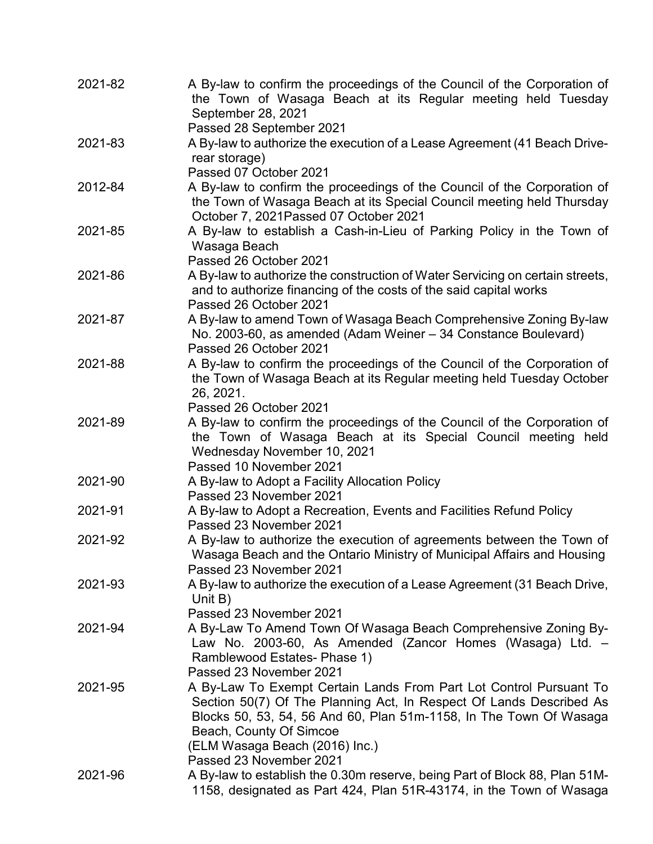| 2021-82 | A By-law to confirm the proceedings of the Council of the Corporation of<br>the Town of Wasaga Beach at its Regular meeting held Tuesday<br>September 28, 2021                                                                                                                                          |
|---------|---------------------------------------------------------------------------------------------------------------------------------------------------------------------------------------------------------------------------------------------------------------------------------------------------------|
|         | Passed 28 September 2021                                                                                                                                                                                                                                                                                |
| 2021-83 | A By-law to authorize the execution of a Lease Agreement (41 Beach Drive-<br>rear storage)<br>Passed 07 October 2021                                                                                                                                                                                    |
| 2012-84 | A By-law to confirm the proceedings of the Council of the Corporation of<br>the Town of Wasaga Beach at its Special Council meeting held Thursday<br>October 7, 2021 Passed 07 October 2021                                                                                                             |
| 2021-85 | A By-law to establish a Cash-in-Lieu of Parking Policy in the Town of<br>Wasaga Beach<br>Passed 26 October 2021                                                                                                                                                                                         |
| 2021-86 | A By-law to authorize the construction of Water Servicing on certain streets,<br>and to authorize financing of the costs of the said capital works<br>Passed 26 October 2021                                                                                                                            |
| 2021-87 | A By-law to amend Town of Wasaga Beach Comprehensive Zoning By-law<br>No. 2003-60, as amended (Adam Weiner - 34 Constance Boulevard)<br>Passed 26 October 2021                                                                                                                                          |
| 2021-88 | A By-law to confirm the proceedings of the Council of the Corporation of<br>the Town of Wasaga Beach at its Regular meeting held Tuesday October<br>26, 2021.<br>Passed 26 October 2021                                                                                                                 |
| 2021-89 | A By-law to confirm the proceedings of the Council of the Corporation of<br>the Town of Wasaga Beach at its Special Council meeting held<br>Wednesday November 10, 2021                                                                                                                                 |
| 2021-90 | Passed 10 November 2021<br>A By-law to Adopt a Facility Allocation Policy<br>Passed 23 November 2021                                                                                                                                                                                                    |
| 2021-91 | A By-law to Adopt a Recreation, Events and Facilities Refund Policy<br>Passed 23 November 2021                                                                                                                                                                                                          |
| 2021-92 | A By-law to authorize the execution of agreements between the Town of<br>Wasaga Beach and the Ontario Ministry of Municipal Affairs and Housing<br>Passed 23 November 2021                                                                                                                              |
| 2021-93 | A By-law to authorize the execution of a Lease Agreement (31 Beach Drive,<br>Unit $B$ )<br>Passed 23 November 2021                                                                                                                                                                                      |
| 2021-94 | A By-Law To Amend Town Of Wasaga Beach Comprehensive Zoning By-<br>Law No. 2003-60, As Amended (Zancor Homes (Wasaga) Ltd. -<br>Ramblewood Estates- Phase 1)<br>Passed 23 November 2021                                                                                                                 |
| 2021-95 | A By-Law To Exempt Certain Lands From Part Lot Control Pursuant To<br>Section 50(7) Of The Planning Act, In Respect Of Lands Described As<br>Blocks 50, 53, 54, 56 And 60, Plan 51m-1158, In The Town Of Wasaga<br>Beach, County Of Simcoe<br>(ELM Wasaga Beach (2016) Inc.)<br>Passed 23 November 2021 |
| 2021-96 | A By-law to establish the 0.30m reserve, being Part of Block 88, Plan 51M-<br>1158, designated as Part 424, Plan 51R-43174, in the Town of Wasaga                                                                                                                                                       |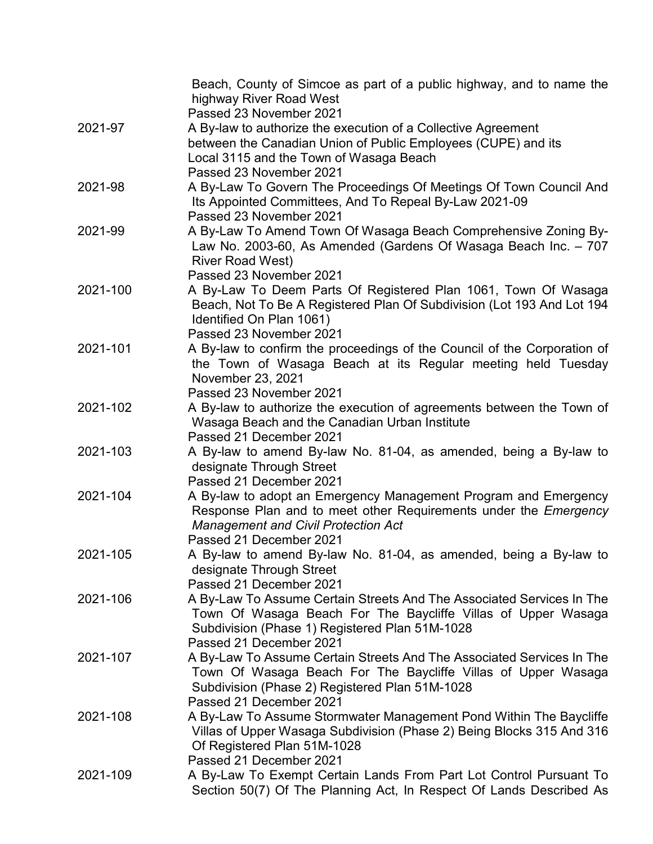|          | Beach, County of Simcoe as part of a public highway, and to name the<br>highway River Road West<br>Passed 23 November 2021 |
|----------|----------------------------------------------------------------------------------------------------------------------------|
| 2021-97  | A By-law to authorize the execution of a Collective Agreement                                                              |
|          | between the Canadian Union of Public Employees (CUPE) and its                                                              |
|          | Local 3115 and the Town of Wasaga Beach                                                                                    |
|          | Passed 23 November 2021                                                                                                    |
| 2021-98  | A By-Law To Govern The Proceedings Of Meetings Of Town Council And                                                         |
|          | Its Appointed Committees, And To Repeal By-Law 2021-09                                                                     |
|          | Passed 23 November 2021                                                                                                    |
| 2021-99  | A By-Law To Amend Town Of Wasaga Beach Comprehensive Zoning By-                                                            |
|          | Law No. 2003-60, As Amended (Gardens Of Wasaga Beach Inc. - 707                                                            |
|          | <b>River Road West)</b>                                                                                                    |
|          | Passed 23 November 2021                                                                                                    |
| 2021-100 | A By-Law To Deem Parts Of Registered Plan 1061, Town Of Wasaga                                                             |
|          | Beach, Not To Be A Registered Plan Of Subdivision (Lot 193 And Lot 194                                                     |
|          | Identified On Plan 1061)                                                                                                   |
|          | Passed 23 November 2021                                                                                                    |
| 2021-101 | A By-law to confirm the proceedings of the Council of the Corporation of                                                   |
|          | the Town of Wasaga Beach at its Regular meeting held Tuesday                                                               |
|          | November 23, 2021                                                                                                          |
|          | Passed 23 November 2021                                                                                                    |
| 2021-102 | A By-law to authorize the execution of agreements between the Town of                                                      |
|          | Wasaga Beach and the Canadian Urban Institute                                                                              |
|          | Passed 21 December 2021                                                                                                    |
| 2021-103 | A By-law to amend By-law No. 81-04, as amended, being a By-law to                                                          |
|          | designate Through Street                                                                                                   |
|          | Passed 21 December 2021                                                                                                    |
| 2021-104 | A By-law to adopt an Emergency Management Program and Emergency                                                            |
|          | Response Plan and to meet other Requirements under the Emergency                                                           |
|          | <b>Management and Civil Protection Act</b>                                                                                 |
|          | Passed 21 December 2021                                                                                                    |
| 2021-105 | A By-law to amend By-law No. 81-04, as amended, being a By-law to                                                          |
|          | designate Through Street                                                                                                   |
|          | Passed 21 December 2021                                                                                                    |
| 2021-106 | A By-Law To Assume Certain Streets And The Associated Services In The                                                      |
|          | Town Of Wasaga Beach For The Baycliffe Villas of Upper Wasaga                                                              |
|          | Subdivision (Phase 1) Registered Plan 51M-1028                                                                             |
|          | Passed 21 December 2021                                                                                                    |
| 2021-107 | A By-Law To Assume Certain Streets And The Associated Services In The                                                      |
|          | Town Of Wasaga Beach For The Baycliffe Villas of Upper Wasaga                                                              |
|          | Subdivision (Phase 2) Registered Plan 51M-1028                                                                             |
|          | Passed 21 December 2021                                                                                                    |
| 2021-108 | A By-Law To Assume Stormwater Management Pond Within The Baycliffe                                                         |
|          | Villas of Upper Wasaga Subdivision (Phase 2) Being Blocks 315 And 316                                                      |
|          | Of Registered Plan 51M-1028<br>Passed 21 December 2021                                                                     |
| 2021-109 | A By-Law To Exempt Certain Lands From Part Lot Control Pursuant To                                                         |
|          | Section 50(7) Of The Planning Act, In Respect Of Lands Described As                                                        |